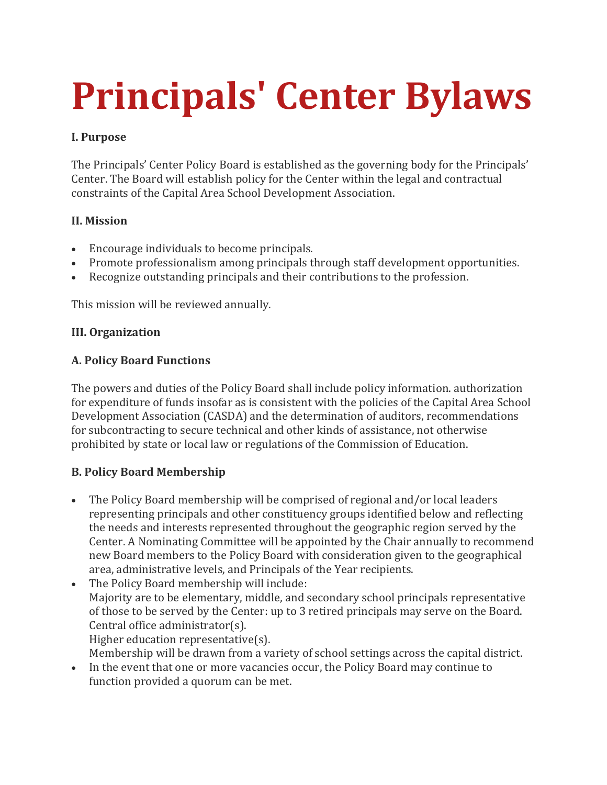# **Principals' Center Bylaws**

## **I. Purpose**

The Principals' Center Policy Board is established as the governing body for the Principals' Center. The Board will establish policy for the Center within the legal and contractual constraints of the Capital Area School Development Association.

## **II. Mission**

- Encourage individuals to become principals.
- Promote professionalism among principals through staff development opportunities.
- Recognize outstanding principals and their contributions to the profession.

This mission will be reviewed annually.

#### **III. Organization**

#### **A. Policy Board Functions**

The powers and duties of the Policy Board shall include policy information. authorization for expenditure of funds insofar as is consistent with the policies of the Capital Area School Development Association (CASDA) and the determination of auditors, recommendations for subcontracting to secure technical and other kinds of assistance, not otherwise prohibited by state or local law or regulations of the Commission of Education.

## **B. Policy Board Membership**

- The Policy Board membership will be comprised of regional and/or local leaders representing principals and other constituency groups identified below and reflecting the needs and interests represented throughout the geographic region served by the Center. A Nominating Committee will be appointed by the Chair annually to recommend new Board members to the Policy Board with consideration given to the geographical area, administrative levels, and Principals of the Year recipients.
- The Policy Board membership will include: Majority are to be elementary, middle, and secondary school principals representative of those to be served by the Center: up to 3 retired principals may serve on the Board. Central office administrator(s). Higher education representative(s).
- Membership will be drawn from a variety of school settings across the capital district. In the event that one or more vacancies occur, the Policy Board may continue to function provided a quorum can be met.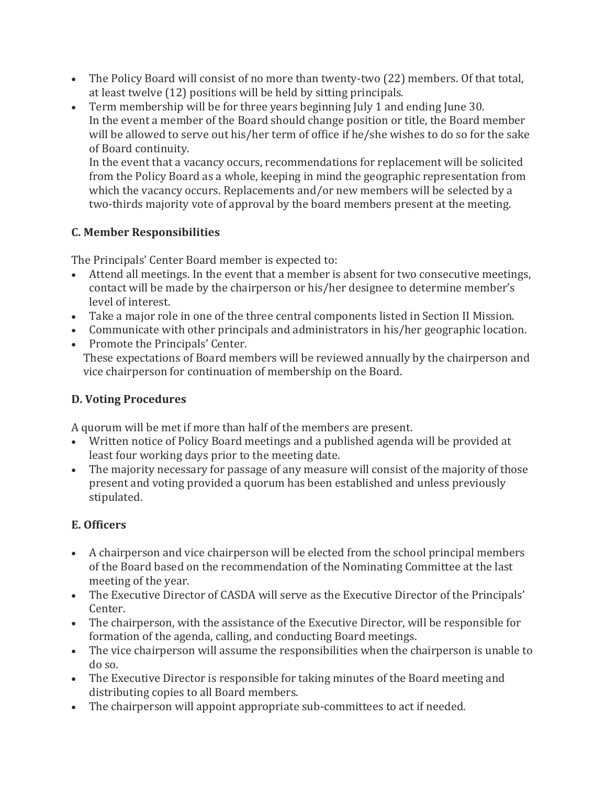- The Policy Board will consist of no more than twenty-two (22) members. Of that total, at least twelve (12) positions will be held by sitting principals.
- Term membership will be for three years beginning July 1 and ending June 30. In the event a member of the Board should change position or title, the Board member will be allowed to serve out his/her term of office if he/she wishes to do so for the sake of Board continuity.

In the event that a vacancy occurs, recommendations for replacement will be solicited from the Policy Board as a whole, keeping in mind the geographic representation from which the vacancy occurs. Replacements and/or new members will be selected by a two-thirds majority vote of approval by the board members present at the meeting.

## **C. Member Responsibilities**

The Principals' Center Board member is expected to:

- Attend all meetings. In the event that a member is absent for two consecutive meetings, contact will be made by the chairperson or his/her designee to determine member's level of interest.
- Take a major role in one of the three central components listed in Section II Mission.
- Communicate with other principals and administrators in his/her geographic location.
- Promote the Principals' Center. These expectations of Board members will be reviewed annually by the chairperson and vice chairperson for continuation of membership on the Board.

# **D. Voting Procedures**

A quorum will be met if more than half of the members are present.

- Written notice of Policy Board meetings and a published agenda will be provided at least four working days prior to the meeting date.
- The majority necessary for passage of any measure will consist of the majority of those present and voting provided a quorum has been established and unless previously stipulated.

# **E. Officers**

- A chairperson and vice chairperson will be elected from the school principal members of the Board based on the recommendation of the Nominating Committee at the last meeting of the year.
- The Executive Director of CASDA will serve as the Executive Director of the Principals' Center.
- The chairperson, with the assistance of the Executive Director, will be responsible for formation of the agenda, calling, and conducting Board meetings.
- The vice chairperson will assume the responsibilities when the chairperson is unable to do so.
- The Executive Director is responsible for taking minutes of the Board meeting and distributing copies to all Board members.
- The chairperson will appoint appropriate sub-committees to act if needed.